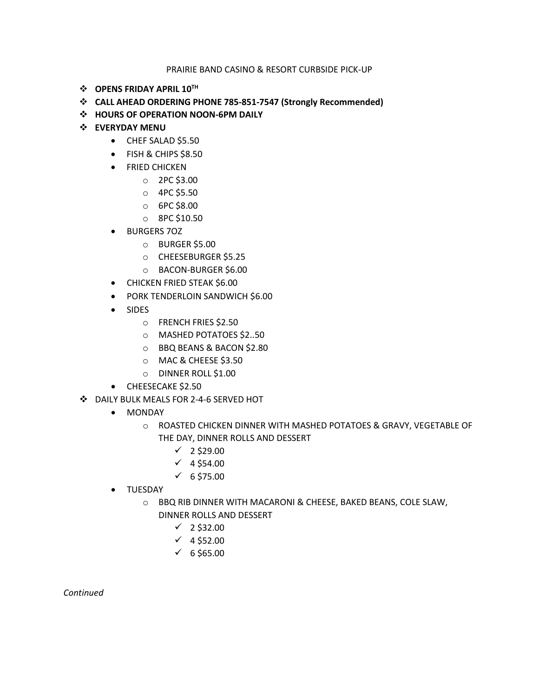## PRAIRIE BAND CASINO & RESORT CURBSIDE PICK-UP

- $\div$  OPENS FRIDAY APRIL 10TH
- **CALL AHEAD ORDERING PHONE 785-851-7547 (Strongly Recommended)**
- **HOURS OF OPERATION NOON-6PM DAILY**
- **EVERYDAY MENU**
	- CHEF SALAD \$5.50
	- FISH & CHIPS \$8.50
	- FRIED CHICKEN
		- o 2PC \$3.00
		- o 4PC \$5.50
		- o 6PC \$8.00
		- o 8PC \$10.50
	- BURGERS 7OZ
		- o BURGER \$5.00
		- o CHEESEBURGER \$5.25
		- o BACON-BURGER \$6.00
	- CHICKEN FRIED STEAK \$6.00
	- PORK TENDERLOIN SANDWICH \$6.00
	- SIDES
		- o FRENCH FRIES \$2.50
		- o MASHED POTATOES \$2..50
		- o BBQ BEANS & BACON \$2.80
		- o MAC & CHEESE \$3.50
		- o DINNER ROLL \$1.00
	- CHEESECAKE \$2.50
- DAILY BULK MEALS FOR 2-4-6 SERVED HOT
	- MONDAY
		- o ROASTED CHICKEN DINNER WITH MASHED POTATOES & GRAVY, VEGETABLE OF THE DAY, DINNER ROLLS AND DESSERT
			- $\times$  2 \$29.00
			- $\times$  4 \$54.00
			- $\sqrt{6}$  \$75.00
	- TUESDAY
		- o BBQ RIB DINNER WITH MACARONI & CHEESE, BAKED BEANS, COLE SLAW, DINNER ROLLS AND DESSERT
			- $\checkmark$  2 \$32.00
			- $\times$  4 \$52.00
			- $\times$  6 \$65.00

*Continued*